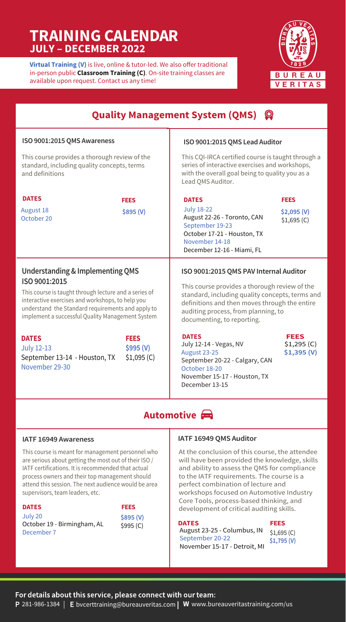## **TRAINING CALENDAR JULY – DECEMBER 2022**

**Virtual Training (V)** is live, online & tutor-led. We also offer traditional in-person public **Classroom Training (C)**. On-site training classes are available upon request. Contact us any time!



| <b>Quality Management System (QMS) Q</b>                                                                                                                                                                                                                                           |                                        |                                                                                                                                                                                                                                                                  |                                            |
|------------------------------------------------------------------------------------------------------------------------------------------------------------------------------------------------------------------------------------------------------------------------------------|----------------------------------------|------------------------------------------------------------------------------------------------------------------------------------------------------------------------------------------------------------------------------------------------------------------|--------------------------------------------|
| ISO 9001:2015 QMS Awareness                                                                                                                                                                                                                                                        |                                        | ISO 9001:2015 QMS Lead Auditor                                                                                                                                                                                                                                   |                                            |
| This course provides a thorough review of the<br>standard, including quality concepts, terms<br>and definitions                                                                                                                                                                    |                                        | This CQI-IRCA certified course is taught through a<br>series of interactive exercises and workshops,<br>with the overall goal being to quality you as a<br>Lead QMS Auditor.                                                                                     |                                            |
| <b>DATES</b>                                                                                                                                                                                                                                                                       | <b>FEES</b>                            | <b>DATES</b>                                                                                                                                                                                                                                                     | <b>FEES</b>                                |
| <b>August 18</b><br>October 20                                                                                                                                                                                                                                                     | \$895 (V)                              | <b>July 18-22</b><br>August 22-26 - Toronto, CAN<br>September 19-23<br>October 17-21 - Houston, TX<br>November 14-18<br>December 12-16 - Miami, FL                                                                                                               | \$2,095(V)<br>\$1,695(C)                   |
| <b>Understanding &amp; Implementing QMS</b><br>ISO 9001:2015<br>This course is taught through lecture and a series of<br>interactive exercises and workshops, to help you<br>understand the Standard requirements and apply to<br>implement a successful Quality Management System |                                        | ISO 9001:2015 QMS PAV Internal Auditor<br>This course provides a thorough review of the<br>standard, including quality concepts, terms and<br>definitions and then moves through the entire<br>auditing process, from planning, to<br>documenting, to reporting. |                                            |
| <b>DATES</b><br><b>July 12-13</b><br>September 13-14 - Houston, TX<br>November 29-30                                                                                                                                                                                               | <b>FEES</b><br>\$995 (V)<br>\$1,095(C) | <b>DATES</b><br>July 12-14 - Vegas, NV<br>August 23-25<br>September 20-22 - Calgary, CAN<br>October 18-20<br>November 15-17 - Houston, TX<br>December 13-15                                                                                                      | <b>FEES</b><br>$$1,295$ (C)<br>\$1,395 (V) |

### **Automotive**

#### **IATF 16949 Awareness**

This course is meant for management personnel who are serious about getting the most out of their ISO / IATF certifications. It is recommended that actual process owners and their top management should attend this session. The next audience would be area supervisors, team leaders, etc.

**FEES DATES** July 20 October 19 - Birmingham, AL December 7

**\$895 (V)** \$995 (C)

#### IATF 16949 QMS Auditor

At the conclusion of this course, the attendee will have been provided the knowledge, skills and ability to assess the QMS for compliance to the IATF requirements. The course is a perfect combination of lecture and workshops focused on Automotive Industry Core Tools, process-based thinking, and development of critical auditing skills.

#### **DATES**

| <b>DATES</b>                 | FEES         |
|------------------------------|--------------|
| August 23-25 - Columbus, IN  | \$1,695(C)   |
| September 20-22              | $$1,795$ (V) |
| November 15-17 - Detroit. MI |              |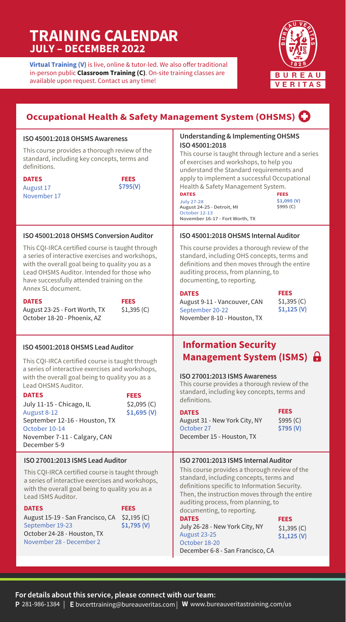## **TRAINING CALENDAR JULY – DECEMBER 2022**

**Virtual Training (V)** is live, online & tutor-led. We also offer traditional in-person public **Classroom Training (C)**. On-site training classes are available upon request. Contact us any time!



| Occupational Health & Safety Management System (OHSMS) <sup>1</sup>                                                                                                                                                                                                                                                                                                                                                               |                                                                                                                                                                                                                                                                                                                                                                                                                                                                     |
|-----------------------------------------------------------------------------------------------------------------------------------------------------------------------------------------------------------------------------------------------------------------------------------------------------------------------------------------------------------------------------------------------------------------------------------|---------------------------------------------------------------------------------------------------------------------------------------------------------------------------------------------------------------------------------------------------------------------------------------------------------------------------------------------------------------------------------------------------------------------------------------------------------------------|
| ISO 45001:2018 OHSMS Awareness<br>This course provides a thorough review of the<br>standard, including key concepts, terms and<br>definitions.<br><b>DATES</b><br><b>FEES</b><br>\$795(V)<br>August 17<br>November 17                                                                                                                                                                                                             | <b>Understanding &amp; Implementing OHSMS</b><br>ISO 45001:2018<br>This course is taught through lecture and a series<br>of exercises and workshops, to help you<br>understand the Standard requirements and<br>apply to implement a successful Occupational<br>Health & Safety Management System.<br><b>DATES</b><br><b>FEES</b><br>\$1,095(V)<br><b>July 27-28</b><br>\$995 (C)<br>August 24-25 - Detroit, MI<br>October 12-13<br>November 16-17 - Fort Worth, TX |
| ISO 45001:2018 OHSMS Conversion Auditor<br>This CQI-IRCA certified course is taught through<br>a series of interactive exercises and workshops,<br>with the overall goal being to quality you as a<br>Lead OHSMS Auditor. Intended for those who<br>have successfully attended training on the<br>Annex SL document.<br><b>DATES</b><br><b>FEES</b><br>\$1,395(C)<br>August 23-25 - Fort Worth, TX<br>October 18-20 - Phoenix, AZ | ISO 45001:2018 OHSMS Internal Auditor<br>This course provides a thorough review of the<br>standard, including OHS concepts, terms and<br>definitions and then moves through the entire<br>auditing process, from planning, to<br>documenting, to reporting.<br><b>FEES</b><br><b>DATES</b><br>\$1,395(C)<br>August 9-11 - Vancouver, CAN<br>$$1,125$ (V)<br>September 20-22<br>November 8-10 - Houston, TX                                                          |
| ISO 45001:2018 OHSMS Lead Auditor                                                                                                                                                                                                                                                                                                                                                                                                 |                                                                                                                                                                                                                                                                                                                                                                                                                                                                     |
| This CQI-IRCA certified course is taught through<br>a series of interactive exercises and workshops,<br>with the overall goal being to quality you as a<br>Lead OHSMS Auditor.<br><b>DATES</b><br><b>FEES</b><br>\$2,095(C)<br>July 11-15 - Chicago, IL<br>August 8-12<br>\$1,695(V)<br>September 12-16 - Houston, TX<br>October 10-14<br>November 7-11 - Calgary, CAN<br>December 5-9                                            | <b>Information Security</b><br><b>Management System (ISMS)</b><br>ISO 27001:2013 ISMS Awareness<br>This course provides a thorough review of the<br>standard, including key concepts, terms and<br>definitions.<br><b>FEES</b><br><b>DATES</b><br>August 31 - New York City, NY<br>\$995(C)<br>October 27<br>\$795 (V)<br>December 15 - Houston, TX                                                                                                                 |

### For details about this service, please connect with our team: 281-986-1384 | **E** bvcerttraining@bureauveritas.com| **W** www.bureauveritastraining.com/us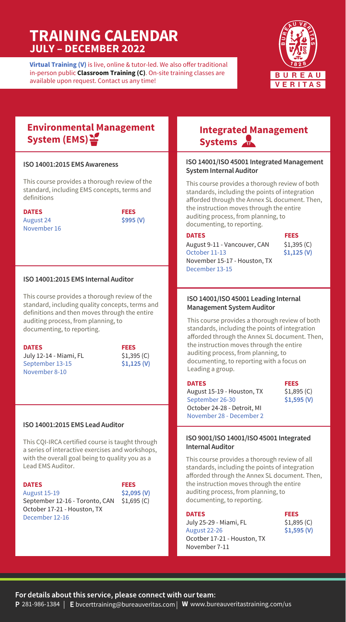# **TRAINING CALENDAR JULY – DECEMBER 2022**

**Virtual Training (V)** is live, online & tutor-led. We also offer traditional in-person public **Classroom Training (C)**. On-site training classes are available upon request. Contact us any time!



### **Environmental Management System (EMS)**

#### ISO 14001:2015 EMS Awareness

This course provides a thorough review of the standard, including EMS concepts, terms and definitions

**DATES** August 24 November 16 **FEES \$995 (V)**

#### ISO 14001:2015 EMS Internal Auditor

This course provides a thorough review of the standard, including quality concepts, terms and definitions and then moves through the entire auditing process, from planning, to documenting, to reporting.

| <b>DATES</b>           |
|------------------------|
| July 12-14 - Miami, FL |
| September 13-15        |
| November 8-10          |

**FEES** \$1,395 (C) **\$1,125 (V)**

#### ISO 14001:2015 EMS Lead Auditor

This CQI-IRCA certified course is taught through a series of interactive exercises and workshops, with the overall goal being to quality you as a Lead EMS Auditor.

| <b>DATES</b>                               | <b>FEES</b> |
|--------------------------------------------|-------------|
| <b>August 15-19</b>                        | \$2,095(V)  |
| September 12-16 - Toronto, CAN \$1,695 (C) |             |
| October 17-21 - Houston, TX                |             |
| December 12-16                             |             |

### **Integrated Management Systems**

#### ISO 14001/ISO 45001 Integrated Management **System Internal Auditor**

This course provides a thorough review of both standards, including the points of integration afforded through the Annex SL document. Then, the instruction moves through the entire auditing process, from planning, to documenting, to reporting.

| <b>DATES</b>                 |
|------------------------------|
| August 9-11 - Vancouver, CAN |
| October 11-13                |
| November 15-17 - Houston, TX |
| December 13-15               |

| HEES        |  |
|-------------|--|
| \$1,395(C)  |  |
| \$1,125 (V) |  |

#### Lorem ipsum ISO 14001/ISO 45001 Leading Internal **Management System Auditor**

This course provides a thorough review of both standards, including the points of integration afforded through the Annex SL document. Then, the instruction moves through the entire auditing process, from planning, to documenting, to reporting with a focus on Leading a group.

| <b>DATES</b>                | <b>FEES</b> |
|-----------------------------|-------------|
| August 15-19 - Houston, TX  | \$1,895(C)  |
| September 26-30             | \$1,595(V)  |
| October 24-28 - Detroit, MI |             |
| November 28 - December 2    |             |
|                             |             |

#### ISO 9001/ISO 14001/ISO 45001 Integrated **Internal Auditor**

This course provides a thorough review of all standards, including the points of integration afforded through the Annex SL document. Then, the instruction moves through the entire auditing process, from planning, to documenting, to reporting.

#### **DATES**

July 25-29 - Miami, FL August 22-26 Ocotber 17-21 - Houston, TX November 7-11

| FEES         |  |
|--------------|--|
| \$1,895(C)   |  |
| $$1,595$ (V) |  |